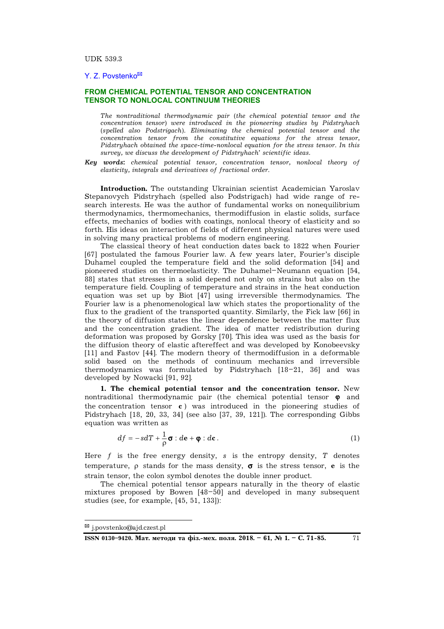## Y. Z. Povstenko**\***

## **FROM CHEMICAL POTENTIAL TENSOR AND CONCENTRATION TENSOR TO NONLOCAL CONTINUUM THEORIES**

*The nontraditional thermodynamic pair* (*the chemical potential tensor and the concentration tensor*) *were introduced in the pioneering studies by Pidstryhach*  (*spelled also Podstrigach*)*. Eliminating the chemical potential tensor and the concentration tensor from the constitutive equations for the stress tensor, Pidstryhach obtained the space-time-nonlocal equation for the stress tensor. In this survey, we discuss the development of Pidstryhach' scientific ideas.* 

*Key words***:** *chemical potential tensor, concentration tensor, nonlocal theory of elasticity, integrals and derivatives of fractional order.* 

**Introduction.** The outstanding Ukrainian scientist Academician Yaroslav Stepanovych Pidstryhach (spelled also Podstrigach) had wide range of research interests. He was the author of fundamental works on nonequilibrium thermodynamics, thermomechanics, thermodiffusion in elastic solids, surface effects, mechanics of bodies with coatings, nonlocal theory of elasticity and so forth. His ideas on interaction of fields of different physical natures were used in solving many practical problems of modern engineering.

The classical theory of heat conduction dates back to 1822 when Fourier [67] postulated the famous Fourier law. A few years later, Fourier's disciple Duhamel coupled the temperature field and the solid deformation [54] and pioneered studies on thermoelasticity. The Duhamel–Neumann equation [54, 88] states that stresses in a solid depend not only on strains but also on the temperature field. Coupling of temperature and strains in the heat conduction equation was set up by Biot [47] using irreversible thermodynamics. The Fourier law is a phenomenological law which states the proportionality of the flux to the gradient of the transported quantity. Similarly, the Fick law [66] in the theory of diffusion states the linear dependence between the matter flux and the concentration gradient. The idea of matter redistribution during deformation was proposed by Gorsky [70]. This idea was used as the basis for the diffusion theory of elastic aftereffect and was developed by Konobeevsky [11] and Fastov [44]. The modern theory of thermodiffusion in a deformable solid based on the methods of continuum mechanics and irreversible thermodynamics was formulated by Pidstryhach [18–21, 36] and was developed by Nowacki [91, 92].

**1. The chemical potential tensor and the concentration tensor.** New nontraditional thermodynamic pair (the chemical potential tensor  $\varphi$  and the concentration tensor **c** ) was introduced in the pioneering studies of Pidstryhach [18, 20, 33, 34] (see also [37, 39, 121]). The corresponding Gibbs equation was written as

$$
df = -sdT + \frac{1}{\rho}\sigma : d\mathbf{e} + \mathbf{\varphi} : d\mathbf{c}.
$$
 (1)

Here *f* is the free energy density, *s* is the entropy density, *T* denotes temperature,  $\rho$  stands for the mass density,  $\sigma$  is the stress tensor, **e** is the strain tensor, the colon symbol denotes the double inner product.

The chemical potential tensor appears naturally in the theory of elastic mixtures proposed by Bowen [48–50] and developed in many subsequent studies (see, for example, [45, 51, 133]):

**<sup>\*</sup>** [j.povstenko@ajd.czest.pl](mailto:j.povstenko@ajd.czest.pl)

ISSN 0130-9420. Мат. методи та фіз.-мех. поля. 2018. - 61, № 1. - С. 71-85. 71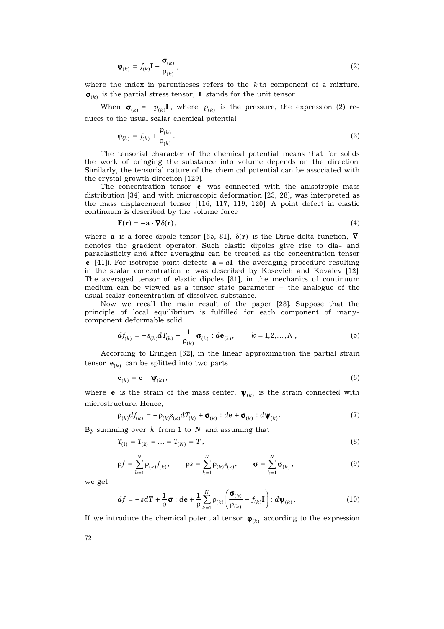$$
\mathbf{\Phi}_{(k)} = f_{(k)} \mathbf{I} - \frac{\mathbf{\sigma}_{(k)}}{\mathbf{\rho}_{(k)}},
$$
\n(2)

where the index in parentheses refers to the *k* th component of a mixture,  $\sigma_{(k)}$  is the partial stress tensor, **I** stands for the unit tensor.

When  $\sigma_{(k)} = - p_{(k)} I$ , where  $p_{(k)}$  is the pressure, the expression (2) reduces to the usual scalar chemical potential

$$
\varphi_{\{k\}} = f_{(k)} + \frac{p_{(k)}}{\rho_{(k)}}.
$$
\n(3)

The tensorial character of the chemical potential means that for solids the work of bringing the substance into volume depends on the direction. Similarly, the tensorial nature of the chemical potential can be associated with the crystal growth direction [129].

The concentration tensor **c** was connected with the anisotropic mass distribution [34] and with microscopic deformation [23, 28], was interpreted as the mass displacement tensor [116, 117, 119, 120]. A point defect in elastic continuum is described by the volume force

$$
\mathbf{F}(\mathbf{r}) = -\mathbf{a} \cdot \nabla \delta(\mathbf{r}),\tag{4}
$$

where **a** is a force dipole tensor [65, 81],  $\delta(\mathbf{r})$  is the Dirac delta function,  $\nabla$ denotes the gradient operator. Such elastic dipoles give rise to dia- and paraelasticity and after averaging can be treated as the concentration tensor **c** [41]). For isotropic point defects  $\mathbf{a} = a\mathbf{I}$  the averaging procedure resulting in the scalar concentration *c* was described by Kosevich and Kovalev [12]. The averaged tensor of elastic dipoles [81], in the mechanics of continuum medium can be viewed as a tensor state parameter – the analogue of the usual scalar concentration of dissolved substance.

Now we recall the main result of the paper [28]. Suppose that the principle of local equilibrium is fulfilled for each component of manycomponent deformable solid

$$
df_{(k)} = -s_{(k)}dT_{(k)} + \frac{1}{\rho_{(k)}}\sigma_{(k)} : d\mathbf{e}_{(k)}, \qquad k = 1, 2, ..., N,
$$
 (5)

According to Eringen [62], in the linear approximation the partial strain  $\mathbf{e}_{(k)}$  can be splitted into two parts

$$
\mathbf{e}_{(k)} = \mathbf{e} + \mathbf{\Psi}_{(k)},\tag{6}
$$

where **e** is the strain of the mass center,  $\boldsymbol{\psi}_{(k)}$  is the strain connected with microstructure. Hence,

$$
\rho_{(k)}df_{(k)} = -\rho_{(k)}s_{(k)}dT_{(k)} + \sigma_{(k)} : d\mathbf{e} + \sigma_{(k)} : d\psi_{(k)}.
$$
\n(7)

By summing over *k* from 1 to *N* and assuming that

$$
T_{(1)} = T_{(2)} = \dots = T_{(N)} = T \tag{8}
$$

$$
\rho f = \sum_{k=1}^{N} \rho_{(k)} f_{(k)}, \qquad \rho s = \sum_{k=1}^{N} \rho_{(k)} s_{(k)}, \qquad \sigma = \sum_{k=1}^{N} \sigma_{(k)}, \qquad (9)
$$

we get

$$
df = -sdT + \frac{1}{\rho}\boldsymbol{\sigma} : d\mathbf{e} + \frac{1}{\rho} \sum_{k=1}^{N} \rho_{(k)} \left( \frac{\boldsymbol{\sigma}_{(k)}}{\rho_{(k)}} - f_{(k)} \mathbf{I} \right) : d\boldsymbol{\psi}_{(k)} .
$$
 (10)

If we introduce the chemical potential tensor  $\bm{\varphi}_{(k)}$  according to the expression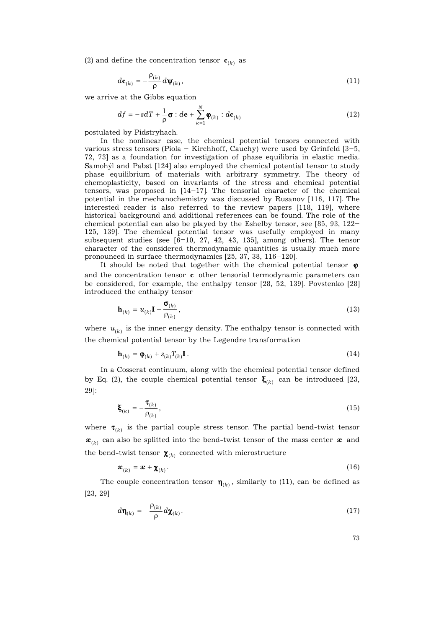(2) and define the concentration tensor  $\mathbf{c}_{(k)}$  as

$$
d\mathbf{c}_{(k)} = -\frac{\rho_{(k)}}{\rho} d\mathbf{\psi}_{(k)},
$$
\n(11)

we arrive at the Gibbs equation

$$
df = -sdT + \frac{1}{\rho}\boldsymbol{\sigma} : d\mathbf{e} + \sum_{k=1}^{N} \boldsymbol{\varphi}_{(k)} : d\mathbf{c}_{(k)}
$$
(12)

postulated by Pidstryhach.

In the nonlinear case, the chemical potential tensors connected with various stress tensors (Piola – Kirchhoff, Cauchy) were used by Grinfeld [3–5, 72, 73] as a foundation for investigation of phase equilibria in elastic media. Samohýl and Pabst [124] also employed the chemical potential tensor to study phase equilibrium of materials with arbitrary symmetry. The theory of chemoplasticity, based on invariants of the stress and chemical potential tensors, was proposed in [14–17]. The tensorial character of the chemical potential in the mechanochemistry was discussed by Rusanov [116, 117]. The interested reader is also referred to the review papers [118, 119], where historical background and additional references can be found. The role of the chemical potential can also be played by the Eshelby tensor, see [85, 93, 122– 125, 139]. The chemical potential tensor was usefully employed in many subsequent studies (see  $[6-10, 27, 42, 43, 135]$ , among others). The tensor character of the considered thermodynamic quantities is usually much more pronounced in surface thermodynamics [25, 37, 38, 116–120].

It should be noted that together with the chemical potential tensor  $\varphi$ and the concentration tensor **c** other tensorial termodynamic parameters can be considered, for example, the enthalpy tensor [28, 52, 139]. Povstenko [28] introduced the enthalpy tensor

$$
\mathbf{h}_{(k)} = u_{(k)} \mathbf{I} - \frac{\sigma_{(k)}}{\rho_{(k)}},
$$
\n(13)

where  $\boldsymbol{u}_{(k)}$  is the inner energy density. The enthalpy tensor is connected with the chemical potential tensor by the Legendre transformation

$$
\mathbf{h}_{(k)} = \mathbf{\varphi}_{(k)} + s_{(k)} T_{(k)} \mathbf{I} \,. \tag{14}
$$

In a Cosserat continuum, along with the chemical potential tensor defined by Eq. (2), the couple chemical potential tensor  $\xi_{(k)}$  can be introduced [23, 29]:

$$
\boldsymbol{\xi}_{(k)} = -\frac{\boldsymbol{\tau}_{(k)}}{\rho_{(k)}},\tag{15}
$$

where  $\bm{\tau}_{(k)}$  is the partial couple stress tensor. The partial bend-twist tensor  $\boldsymbol{x}_{(k)}$  can also be splitted into the bend-twist tensor of the mass center  $\boldsymbol{x}$  and the bend-twist tensor  $\pmb{\chi}_{(k)}$  connected with microstructure

$$
\boldsymbol{x}_{(k)} = \boldsymbol{x} + \boldsymbol{\chi}_{(k)}.
$$
 (16)

The couple concentration tensor  $\bm{\eta}_{(k)}$ , similarly to (11), can be defined as [23, 29]

$$
d\mathbf{\eta}_{(k)} = -\frac{\rho_{(k)}}{\rho} d\mathbf{\chi}_{(k)}.
$$
 (17)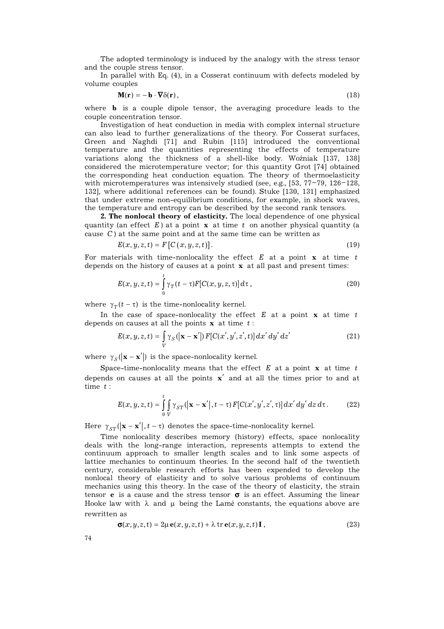The adopted terminology is induced by the analogy with the stress tensor and the couple stress tensor.

In parallel with Eq. (4), in a Cosserat continuum with defects modeled by volume couples

$$
\mathbf{M}(\mathbf{r}) = -\mathbf{b} \cdot \nabla \delta(\mathbf{r}),\tag{18}
$$

where **b** is a couple dipole tensor, the averaging procedure leads to the couple concentration tensor.

Investigation of heat conduction in media with complex internal structure can also lead to further generalizations of the theory. For Cosserat surfaces, Green and Naghdi [71] and Rubin [115] introduced the conventional temperature and the quantities representing the effects of temperature variations along the thickness of a shell-like body. Woźniak [137, 138] considered the microtemperature vector; for this quantity Grot [74] obtained the corresponding heat conduction equation. The theory of thermoelasticity with microtemperatures was intensively studied (see, e.g., [53, 77–79, 126–128, 132], where additional references can be found). Stuke [130, 131] emphasized that under extreme non-equilibrium conditions, for example, in shock waves, the temperature and entropy can be described by the second rank tensors.

**2. The nonlocal theory of elasticity.** The local dependence of one physical quantity (an effect  $E$ ) at a point **x** at time  $t$  on another physical quantity (a cause *C*) at the same point and at the same time can be written as

$$
E(x, y, z, t) = F\left[C\left(x, y, z, t\right)\right].\tag{19}
$$

For materials with time-nonlocality the effect  $E$  at a point  $x$  at time  $t$ depends on the history of causes at a point **x** at all past and present times:

$$
E(x, y, z, t) = \int_{0}^{t} \gamma_T(t - \tau) F[C(x, y, z, \tau)] d\tau,
$$
\n(20)

where  $\gamma_T(t-\tau)$  is the time-nonlocality kernel.

In the case of space-nonlocality the effect  $E$  at a point  $x$  at time  $t$ depends on causes at all the points **x** at time *t* :

$$
E(x, y, z, t) = \int_{V} \gamma_{S} \left( \left| \mathbf{x} - \mathbf{x}' \right| \right) F[C(x', y', z', t)] dx' dy' dz'
$$
 (21)

where  $\gamma_S(|\mathbf{x} - \mathbf{x}'|)$  is the space-nonlocality kernel.

Space-time-nonlocality means that the effect  $E$  at a point  $\bf{x}$  at time  $t$ depends on causes at all the points **x**¢ and at all the times prior to and at time *t* :

$$
E(x, y, z, t) = \int_{0}^{t} \int_{V} \gamma_{ST} (|\mathbf{x} - \mathbf{x}'|, t - \tau) F[C(x', y', z', \tau)] dx' dy' dz d\tau.
$$
 (22)

Here  $\gamma_{ST}(|\mathbf{x}-\mathbf{x}'|, t-\tau)$  denotes the space-time-nonlocality kernel.

Time nonlocality describes memory (history) effects, space nonlocality deals with the long-range interaction, represents attempts to extend the continuum approach to smaller length scales and to link some aspects of lattice mechanics to continuum theories. In the second half of the twentieth century, considerable research efforts has been expended to develop the nonlocal theory of elasticity and to solve various problems of continuum mechanics using this theory. In the case of the theory of elasticity, the strain tensor **e** is a cause and the stress tensor  $\sigma$  is an effect. Assuming the linear Hooke law with  $\lambda$  and  $\mu$  being the Lamé constants, the equations above are rewritten as

$$
\sigma(x, y, z, t) = 2\mu \mathbf{e}(x, y, z, t) + \lambda \operatorname{tr} \mathbf{e}(x, y, z, t) \mathbf{I},
$$
\n(23)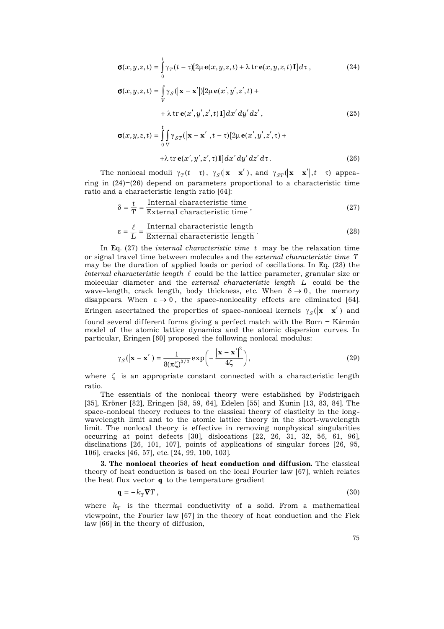$$
\boldsymbol{\sigma}(x,y,z,t) = \int_{0}^{t} \gamma_T(t-\tau) [2\mu \mathbf{e}(x,y,z,t) + \lambda \operatorname{tr} \mathbf{e}(x,y,z,t) \mathbf{I}] d\tau ,
$$
 (24)

$$
\sigma(x, y, z, t) = \int_{V} \gamma_{S} (|\mathbf{x} - \mathbf{x}'|) [2\mu \mathbf{e}(x', y', z', t) + \lambda \operatorname{tr} \mathbf{e}(x', y', z', t) \mathbf{I}] dx' dy' dz',
$$
\n(25)

$$
\sigma(x, y, z, t) = \int_{0}^{t} \int_{V} \gamma_{ST} (|\mathbf{x} - \mathbf{x}'|, t - \tau) [2\mu \mathbf{e}(x', y', z', \tau) ++ \lambda \operatorname{tr} \mathbf{e}(x', y', z', \tau) \mathbf{I}] dx' dy' dz' d\tau.
$$
 (26)

The nonlocal moduli  $\gamma_T(t-\tau)$ ,  $\gamma_S(|\mathbf{x}-\mathbf{x}'|)$ , and  $\gamma_{ST}(|\mathbf{x}-\mathbf{x}'|, t-\tau)$  appearing in (24)–(26) depend on parameters proportional to a characteristic time ratio and a characteristic length ratio [64]:

$$
\delta = \frac{t}{T} = \frac{\text{Internal characteristic time}}{\text{External characteristic time}},\tag{27}
$$

$$
\varepsilon = \frac{\ell}{L} = \frac{\text{Internal characteristic length}}{\text{External characteristic length}}.
$$
\n(28)

In Eq. (27) the *internal characteristic time t* may be the relaxation time or signal travel time between molecules and the *external characteristic time T* may be the duration of applied loads or period of oscillations. In Eq. (28) the *internal characteristic length*  $\ell$  could be the lattice parameter, granular size or molecular diameter and the *external characteristic length L* could be the wave-length, crack length, body thickness, etc. When  $\delta \rightarrow 0$ , the memory disappears. When  $\varepsilon \to 0$ , the space-nonlocality effects are eliminated [64]. Eringen ascertained the properties of space-nonlocal kernels  $\gamma_S(|\mathbf{x}-\mathbf{x}'|)$  and found several different forms giving a perfect match with the Born – Kármán model of the atomic lattice dynamics and the atomic dispersion curves. In particular, Eringen [60] proposed the following nonlocal modulus: 2

$$
\gamma_S(|\mathbf{x} - \mathbf{x}'|) = \frac{1}{8(\pi \zeta)^{3/2}} \exp\left(-\frac{|\mathbf{x} - \mathbf{x}'|^2}{4\zeta}\right),\tag{29}
$$

where  $\zeta$  is an appropriate constant connected with a characteristic length ratio.

The essentials of the nonlocal theory were established by Podstrigach [35], Kröner [82], Eringen [58, 59, 64], Edelen [55] and Kunin [13, 83, 84]. The space-nonlocal theory reduces to the classical theory of elasticity in the longwavelength limit and to the atomic lattice theory in the short-wavelength limit. The nonlocal theory is effective in removing nonphysical singularities occurring at point defects [30], dislocations [22, 26, 31, 32, 56, 61, 96], disclinations [26, 101, 107], points of applications of singular forces [26, 95, 106], cracks [46, 57], etc. [24, 99, 100, 103].

**3. The nonlocal theories of heat conduction and diffusion.** The classical theory of heat conduction is based on the local Fourier law [67], which relates the heat flux vector **q** to the temperature gradient

$$
\mathbf{q} = -k_{T}\nabla T, \qquad (30)
$$

where  $k_T$  is the thermal conductivity of a solid. From a mathematical viewpoint, the Fourier law [67] in the theory of heat conduction and the Fick law [66] in the theory of diffusion,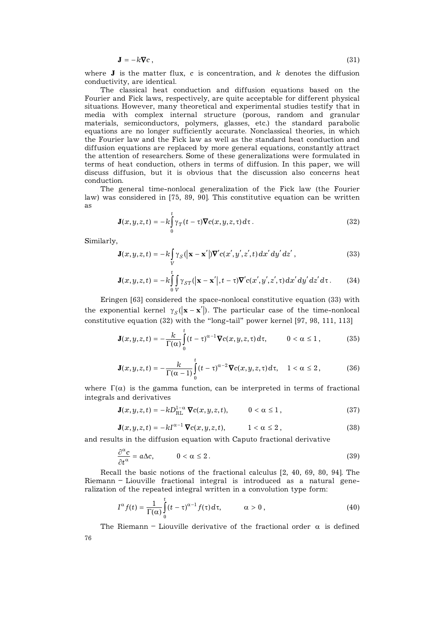$$
\mathbf{J} = -k \nabla c \,, \tag{31}
$$

where  $J$  is the matter flux,  $c$  is concentration, and  $k$  denotes the diffusion conductivity, are identical.

The classical heat conduction and diffusion equations based on the Fourier and Fick laws, respectively, are quite acceptable for different physical situations. However, many theoretical and experimental studies testify that in media with complex internal structure (porous, random and granular materials, semiconductors, polymers, glasses, etc.) the standard parabolic equations are no longer sufficiently accurate. Nonclassical theories, in which the Fourier law and the Fick law as well as the standard heat conduction and diffusion equations are replaced by more general equations, constantly attract the attention of researchers. Some of these generalizations were formulated in terms of heat conduction, others in terms of diffusion. In this paper, we will discuss diffusion, but it is obvious that the discussion also concerns heat conduction.

The general time-nonlocal generalization of the Fick law (the Fourier law) was considered in [75, 89, 90]. This constitutive equation can be written as

$$
\mathbf{J}(x, y, z, t) = -k \int_{0}^{t} \gamma_T(t - \tau) \nabla c(x, y, z, \tau) d\tau.
$$
 (32)

Similarly,

$$
\mathbf{J}(x, y, z, t) = -k \int_{V} \gamma_{S} \left( \left| \mathbf{x} - \mathbf{x}' \right| \right) \nabla' c(x', y', z', t) \, dx' \, dy' \, dz', \tag{33}
$$

$$
\mathbf{J}(x,y,z,t) = -k \int_{0}^{t} \int_{V} \gamma_{ST} (|\mathbf{x} - \mathbf{x}'|, t - \tau) \nabla' c(x',y',z',\tau) dx' dy' dz' d\tau.
$$
 (34)

Eringen [63] considered the space-nonlocal constitutive equation (33) with the exponential kernel  $\gamma_S(|\mathbf{x} - \mathbf{x}'|)$ . The particular case of the time-nonlocal constitutive equation (32) with the "long-tail" power kernel [97, 98, 111, 113]

$$
\mathbf{J}(x,y,z,t) = -\frac{k}{\Gamma(\alpha)} \int_{0}^{t} (t-\tau)^{\alpha-1} \nabla c(x,y,z,\tau) d\tau, \qquad 0 < \alpha \le 1,
$$
 (35)

$$
\mathbf{J}(x,y,z,t)=-\frac{k}{\Gamma(\alpha-1)}\int_{0}^{t}(t-\tau)^{\alpha-2}\mathbf{\nabla}c(x,y,z,\tau)d\tau, \quad 1<\alpha\leq 2, \qquad (36)
$$

where  $\Gamma(\alpha)$  is the gamma function, can be interpreted in terms of fractional integrals and derivatives

$$
\mathbf{J}(x,y,z,t) = -kD_{\mathrm{RL}}^{1-\alpha} \, \nabla c(x,y,z,t), \qquad 0 < \alpha \le 1 \,, \tag{37}
$$

$$
\mathbf{J}(x,y,z,t) = -kI^{\alpha-1}\,\nabla c(x,y,z,t), \qquad \quad 1 < \alpha \leq 2 \,, \tag{38}
$$

and results in the diffusion equation with Caputo fractional derivative

$$
\frac{\partial^{\alpha} c}{\partial t^{\alpha}} = a \Delta c, \qquad 0 < \alpha \le 2.
$$
 (39)

Recall the basic notions of the fractional calculus [2, 40, 69, 80, 94]. The Riemann – Liouville fractional integral is introduced as a natural generalization of the repeated integral written in a convolution type form:

$$
I^{\alpha} f(t) = \frac{1}{\Gamma(\alpha)} \int_{0}^{t} (t - \tau)^{\alpha - 1} f(\tau) d\tau, \qquad \alpha > 0,
$$
\n(40)

76 The Riemann – Liouville derivative of the fractional order  $\alpha$  is defined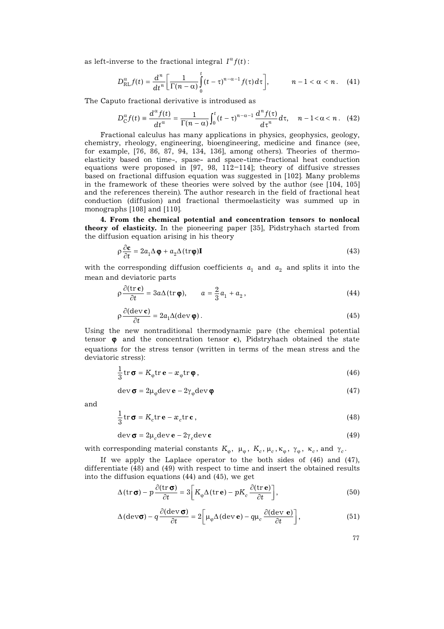as left-inverse to the fractional integral  $I^{\alpha} f(t)$ :

$$
D_{\mathrm{RL}}^{\alpha} f(t) = \frac{d^n}{dt^n} \bigg[ \frac{1}{\Gamma(n-\alpha)} \int_0^t (t-\tau)^{n-\alpha-1} f(\tau) d\tau \bigg], \qquad n-1 < \alpha < n. \quad (41)
$$

The Caputo fractional derivative is introdused as

$$
D_C^{\alpha} f(t) \equiv \frac{d^{\alpha} f(t)}{dt^{\alpha}} = \frac{1}{\Gamma(n-\alpha)} \int_0^t (t-\tau)^{n-\alpha-1} \frac{d^n f(\tau)}{d\tau^n} d\tau, \quad n-1 < \alpha < n. \quad (42)
$$

Fractional calculus has many applications in physics, geophysics, geology, chemistry, rheology, engineering, bioengineering, medicine and finance (see, for example, [76, 86, 87, 94, 134, 136], among others). Theories of thermoelasticity based on time-, spase- and space-time-fractional heat conduction equations were proposed in [97, 98, 112–114]; theory of diffusive stresses based on fractional diffusion equation was suggested in [102]. Many problems in the framework of these theories were solved by the author (see [104, 105] and the references therein). The author research in the field of fractional heat conduction (diffusion) and fractional thermoelasticity was summed up in monographs [108] and [110].

**4. From the chemical potential and concentration tensors to nonlocal theory of elasticity.** In the pioneering paper [35], Pidstryhach started from the diffusion equation arising in his theory

$$
\rho \frac{\partial \mathbf{c}}{\partial t} = 2a_1 \Delta \mathbf{\phi} + a_2 \Delta (\text{tr}\mathbf{\phi}) \mathbf{I}
$$
 (43)

with the corresponding diffusion coefficients  $a_1$  and  $a_2$  and splits it into the mean and deviatoric parts

$$
\rho \frac{\partial (\operatorname{tr} \mathbf{c})}{\partial t} = 3a \Delta (\operatorname{tr} \mathbf{\varphi}), \qquad a = \frac{2}{3} a_1 + a_2 , \qquad (44)
$$

$$
\rho \frac{\partial (\text{dev } \mathbf{c})}{\partial t} = 2a_1 \Delta (\text{dev } \mathbf{\varphi}).
$$
\n(45)

Using the new nontraditional thermodynamic pare (the chemical potential tensor  $\phi$  and the concentration tensor **c**), Pidstryhach obtained the state equations for the stress tensor (written in terms of the mean stress and the deviatoric stress):

$$
\frac{1}{3}\operatorname{tr}\boldsymbol{\sigma} = K_{\varphi}\operatorname{tr}\boldsymbol{e} - \boldsymbol{x}_{\varphi}\operatorname{tr}\boldsymbol{\phi},\tag{46}
$$

$$
\operatorname{dev} \sigma = 2\mu_{\varphi} \operatorname{dev} \mathbf{e} - 2\gamma_{\varphi} \operatorname{dev} \varphi \tag{47}
$$

and

$$
\frac{1}{3}\operatorname{tr}\boldsymbol{\sigma} = K_c \operatorname{tr}\boldsymbol{e} - \boldsymbol{x}_c \operatorname{tr}\boldsymbol{c} \,,\tag{48}
$$

$$
\text{dev}\,\boldsymbol{\sigma} = 2\mu_c \text{dev}\,\mathbf{e} - 2\gamma_c \text{dev}\,\mathbf{c} \tag{49}
$$

with corresponding material constants  $K_{\varphi}$ ,  $\mu_{\varphi}$ ,  $K_c$ ,  $\mu_c$ ,  $\kappa_{\varphi}$ ,  $\gamma_{\varphi}$ ,  $\kappa_c$ , and  $\gamma_c$ .

If we apply the Laplace operator to the both sides of (46) and (47), differentiate (48) and (49) with respect to time and insert the obtained results into the diffusion equations (44) and (45), we get

$$
\Delta(\operatorname{tr}\boldsymbol{\sigma}) - p\frac{\partial(\operatorname{tr}\boldsymbol{\sigma})}{\partial t} = 3\bigg[K_{\varphi}\Delta(\operatorname{tr}\boldsymbol{\mathbf{e}}) - pK_c\frac{\partial(\operatorname{tr}\boldsymbol{\mathbf{e}})}{\partial t}\bigg],\tag{50}
$$

$$
\Delta(\text{dev}\sigma) - q \frac{\partial(\text{dev}\,\sigma)}{\partial t} = 2 \bigg[ \mu_{\varphi} \Delta(\text{dev}\,\mathbf{e}) - q \mu_c \frac{\partial(\text{dev}\,\mathbf{e})}{\partial t} \bigg],\tag{51}
$$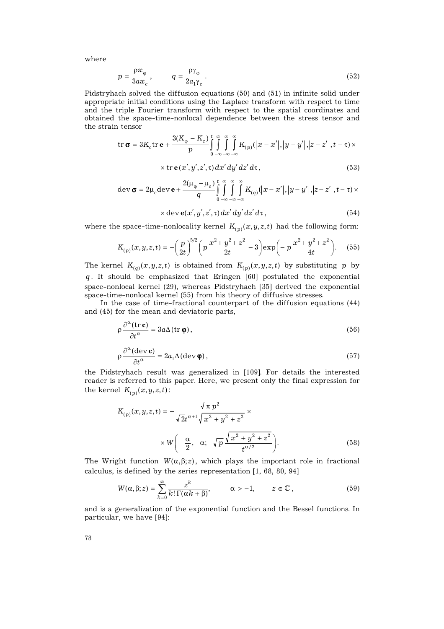where

$$
p = \frac{\rho x_{\varphi}}{3a x_c}, \qquad q = \frac{\rho \gamma_{\varphi}}{2a_1 \gamma_c}.
$$
 (52)

Pidstryhach solved the diffusion equations (50) and (51) in infinite solid under appropriate initial conditions using the Laplace transform with respect to time and the triple Fourier transform with respect to the spatial coordinates and obtained the space-time-nonlocal dependence between the stress tensor and the strain tensor

$$
\operatorname{tr} \sigma = 3K_c \operatorname{tr} \mathbf{e} + \frac{3(K_{\varphi} - K_c)}{p} \int_{0}^{t} \int_{-\infty}^{\infty} \int_{-\infty}^{\infty} K_{(p)}(|x - x'|, |y - y'|, |z - z'|, t - \tau) \times
$$

$$
\times \operatorname{tr} \mathbf{e}(x', y', z', \tau) dx' dy' dz' d\tau,
$$
\n(53)

$$
\operatorname{dev}\sigma = 2\mu_{c}\operatorname{dev}\mathbf{e} + \frac{2(\mu_{\varphi} - \mu_{c})}{q}\int_{0}^{t} \int_{-\infty}^{\infty} \int_{-\infty}^{\infty} K_{(q)}(|x - x'|, |y - y'|, |z - z'|, t - \tau) \times
$$

$$
\times \operatorname{dev} \mathbf{e}(x', y', z', \tau) dx' dy' dz' d\tau,
$$
\n(54)

where the space-time-nonlocality kernel  $K_{(p)}(x, y, z, t)$  had the following form:

$$
K_{(p)}(x,y,z,t) = -\left(\frac{p}{2t}\right)^{5/2} \left(p\frac{x^2 + y^2 + z^2}{2t} - 3\right) \exp\left(-p\frac{x^2 + y^2 + z^2}{4t}\right).
$$
 (55)

The kernel  $K_{(q)}(x, y, z, t)$  is obtained from  $K_{(p)}(x, y, z, t)$  by substituting *p* by *q* . It should be emphasized that Eringen [60] postulated the exponential space-nonlocal kernel (29), whereas Pidstryhach [35] derived the exponential space-time-nonlocal kernel (55) from his theory of diffusive stresses.

In the case of time-fractional counterpart of the diffusion equations (44) and (45) for the mean and deviatoric parts,

$$
\rho \frac{\partial^{\alpha} (\operatorname{tr} \mathbf{c})}{\partial t^{\alpha}} = 3a \Delta (\operatorname{tr} \mathbf{\varphi}), \qquad (56)
$$

$$
\rho \frac{\partial^{\alpha} (\text{dev } \mathbf{c})}{\partial t^{\alpha}} = 2a_1 \Delta (\text{dev } \mathbf{\varphi}), \qquad (57)
$$

the Pidstryhach result was generalized in [109]. For details the interested reader is referred to this paper. Here, we present only the final expression for the kernel  $K_{(p)}(x, y, z, t)$ :

$$
K_{(p)}(x, y, z, t) = -\frac{\sqrt{\pi} p^2}{\sqrt{2}t^{\alpha+1}\sqrt{x^2 + y^2 + z^2}} \times \times W\left(-\frac{\alpha}{2}, -\alpha; -\sqrt{p}\frac{\sqrt{x^2 + y^2 + z^2}}{t^{\alpha/2}}\right).
$$
(58)

The Wright function  $W(\alpha, \beta; z)$ , which plays the important role in fractional calculus, is defined by the series representation [1, 68, 80, 94]

$$
W(\alpha, \beta; z) = \sum_{k=0}^{\infty} \frac{z^k}{k! \Gamma(\alpha k + \beta)}, \qquad \alpha > -1, \qquad z \in \mathbb{C},
$$
 (59)

and is a generalization of the exponential function and the Bessel functions. In particular, we have [94]: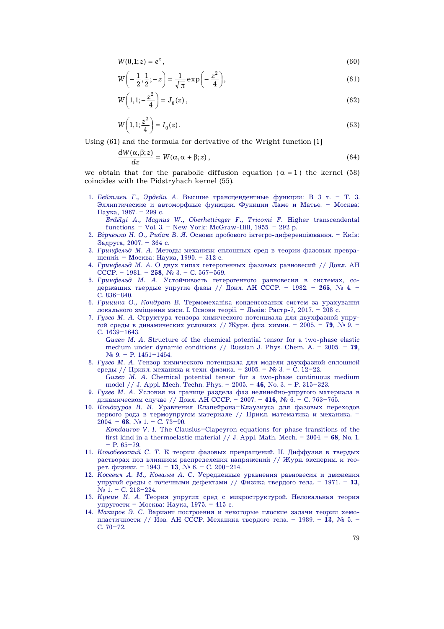$$
W(0,1;z) = e^z, \t\t(60)
$$

$$
W\left(-\frac{1}{2},\frac{1}{2};-z\right) = \frac{1}{\sqrt{\pi}}\exp\left(-\frac{z^2}{4}\right),\tag{61}
$$

$$
W\left(1,1;-\frac{z^2}{4}\right) = J_0(z) ,\t\t(62)
$$

$$
W\left(1,1;\frac{z^2}{4}\right) = I_0(z). \tag{63}
$$

Using (61) and the formula for derivative of the Wright function [1]

$$
\frac{dW(\alpha,\beta;z)}{dz} = W(\alpha,\alpha+\beta;z)\,,\tag{64}
$$

we obtain that for the parabolic diffusion equation  $(\alpha = 1)$  the kernel (58) coincides with the Pidstryhach kernel (55).

1. *Бейтмен Г., Эрдейи А.* Высшие трансцендентные функции: В 3 т. – Т. 3. Эллиптические и автоморфные функции. Функции Ламе и Матье. – Москва: Наука, 1967. – 299 с.

*Erdélyi A., Magnus W., Oberhettinger F., Tricomi F.* Higher transcendental functions. – Vol. 3. – New York: McGraw-Hill, 1955. – 292 p.

- 2. *Вірченко Н. О., Рибак В. Я.* Основи дробового інтегро-диференціювання. Київ: Задруга, 2007. – 364 с.
- 3. *Гринфельд М. А.* Методы механики сплошных сред в теории фазовых превращений. – Москва: Наука, 1990. – 312 с.
- 4. *Гринфельд М. А.* О двух типах гетерогенных фазовых равновесий // Докл. АН СССР. – 1981. – **258**, № 3. – С. 567–569.
- 5. *Гринфельд М. А.* Устойчивость гетерогенного равновесия в системах, содержащих твердые упругие фазы // Докл. АН СССР. – 1982. – **265**, № 4. – С. 836–840.
- 6. *Грицина О., Кондрат В.* Термомеханіка конденсованих систем за урахування локального зміщення маси. І. Основи теорії. – Львів: Растр-7, 2017. – 208 с.
- 7. *Гузев М. А.* Структура тензора химического потенциала для двухфазной упругой среды в динамических условиях // Журн. физ. химии. – 2005. – **79**, № 9. – С. 1639–1643.

*Guzev M. A.* Structure of the chemical potential tensor for a two-phase elastic medium under dynamic conditions // Russian J. Phys. Chem. A. – 2005. – **79**,  $N_2$  9. – P. 1451–1454.

- 8. *Гузев М. А. T*ензор химического потенциала для модели двухфазной сплошной среды // Прикл. механика и техн. физика. – 2005. – № 3. – С. 12–22. *Guzev M. A.* Chemical potential tensor for a two-phase continuous medium model // J. Appl. Mech. Techn. Phys. – 2005. – **46**, No. 3. – P. 315–323.
- 9. *Гузев М. А.* Условия на границе раздела фаз нелинейно-упругого материала в динамическом случае // Докл. АН СССР. – 2007. – **416**, № 6. – С. 763–765.
- 10. *Кондауров В. И.* Уравнения Клапейрона–Клаузиуса для фазовых переходов первого рода в термоупругом материале // Прикл. математика и механика. –  $2004. - 68$ ,  $\mathbb{N}_{2}$  1. – C. 73–90.
	- *Kondaurov V. I.* The Clausius–Clapeyron equations for phase transitions of the first kind in a thermoelastic material // J. Appl. Math. Mech. – 2004. – **68**, No. 1.  $- P. 65 - 79.$
- 11. *Конобеевский С. Т.* К теории фазовых превращений. II. Диффузия в твердых растворах под влиянием распределения напряжений // Журн. эксперим. и теорет. физики. – 1943. – **13**, № 6. – С. 200–214.
- 12. *Косевич А. М., Ковалев А. С.* Усредненные уравнения равновесия и движения упругой среды с точечными дефектами // Физика твердого тела. – 1971. – **13**, № 1. – С. 218–224.
- 13. *Кунин И. А.* Теория упругих сред с микроструктурой. Нелокальная теория упругости – Москва: Наука, 1975. – 415 с.
- 14. *Макаров Э. С.* Вариант построения и некоторые плоские задачи теории хемопластичности // Изв. АН СССР. Механика твердого тела. – 1989. – **13**, № 5. – С. 70–72.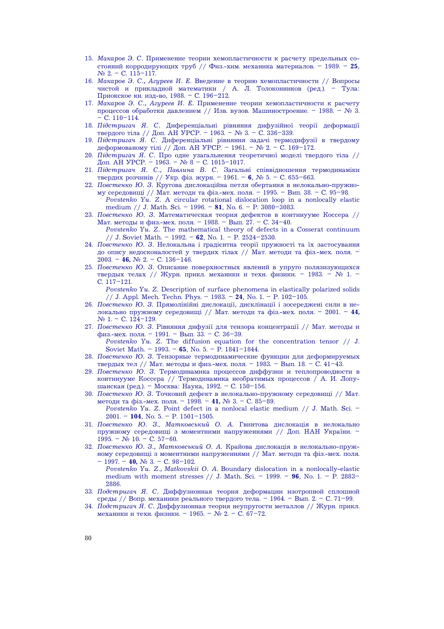- 15. *Макаров Э. С.* Применение теории хемопластичности к расчету предельных состояний корродирующих труб // Физ.-хим. механика материалов. – 1989. – **25**,  $N_2$  2. – C. 115–117.
- 16. *Макаров Э. С., Агуреев И. Е.* Введение в теорию хемопластичности // Вопросы чистой и прикладной математики / А. Л. Толоконников (ред.). – Тула: Приокское кн. изд-во, 1988. – С. 196–212.
- 17. *Макаров Э. С., Агуреев И. Е.* Применение теории хемопластичности к расчету процессов обработки давлением // Изв. вузов. Машиностроение. – 1988. – № 3.  $-$  C. 110–114.
- 18. *Підстригач Я. С.* Диференціальні рівняння дифузійної теорії деформації твердого тіла // Доп. АН УРСР. – 1963. – № 3. – С. 336–339.
- 19. *Підстригач Я. С.* Диференціальні рівняння задачі термодифузії в твердому деформованому тілі // Доп. АН УРСР. – 1961. – № 2. – С. 169–172.
- 20. *Підстригач Я. С.* Про одне узагальнення теоретичної моделі твердого тіла // Доп. АН УРСР. – 1963. – № 8 – С. 1015-1017.
- 21. *Підстригач Я. С., Павлина В. С.* Загальні співвідношення термодинаміки твердих розчинів // Укр. фіз. журн. – 1961. – **6**, № 5. – С. 655–663.
- 22. *Повстенко Ю. З.* Кругова дислокаційна петля обертання в нелокально-пружному середовищі // Мат. методи та фіз.-мех. поля. – 1995. – Вип. 38. – С. 95–98. *Povstenko Yu. Z.* A circular rotational dislocation loop in a nonlocally elastic medium // J. Math. Sci. – 1996. – **81**, No. 6. – P. 3080–3083.
- 23. *Повстенко Ю. З.* Математическая теория дефектов в континууме Коссера // Мат. методы и физ.-мех. поля. – 1988. – Вып. 27. – С. 34–40.
	- *Povstenko Yu. Z.* The mathematical theory of defects in a Cosserat continuum // J. Soviet Math. – 1992. – **62**, No. 1. – P. 2524–2530.
- 24. *Повстенко Ю. З.* Нелокальна і градієнтна теорії пружності та їх застосування до опису недосконалостей у твердих тілах // Мат. методи та фіз.-мех. поля. – 2003. – **46,** № 2. – С. 136–146.
- 25. *Повстенко Ю. З.* Описание поверхностных явлений в упруго полязизующихся твердых телах // Журн. прикл. механики и техн. физики. – 1983. – № 1. – С. 117–121.

*Povstenko Yu. Z.* Description of surface phenomena in elastically polarized solids // J. Appl. Mech. Techn. Phys. – 1983. – **24**, No. 1. – P. 102–105.

- 26. *Повстенко Ю. З.* Прямолінійні дислокації, дисклінації і зосереджені сили в нелокально пружному середовищі // Мат. методи та фіз.-мех. поля. – 2001. – **44,**  № 1. – С. 124–129.
- 27. *Повстенко Ю. З.* Рівняння дифузії для тензора концентрації // Мат. методы и физ.-мех. поля. – 1991. – Вып. 33. – С. 36–39.

*Povstenko Yu. Z.* The diffusion equation for the concentration tensor // J. Soviet Math. – 1993. – **65**, No. 5. – P. 1841–1844.

- 28. *Повстенко Ю. З.* Тензорные термодинамические функции для деформируемых твердых тел // Мат. методы и физ.-мех. поля. - 1983. - Вып. 18. - С. 41-43.
- 29. *Повстенко Ю. З.* Термодинамика процессов диффузии и теплопроводности в континууме Коссера // Термодинамика необратимых процессов / А. И. Лопушанская (ред.). – Москва: Наука, 1992. – С. 150–156.
- 30. *Повстенко Ю. З.* Точковий дефект в нелокально-пружному середовищі // Мат. методи та фіз.-мех. поля. – 1998. – **41,** № 3. – С. 85–89. *Povstenko Yu. Z.* Point defect in a nonlocal elastic medium // J. Math. Sci. – 2001. – **104**, No. 5. – P. 1501–1505.
- 31. *Повстенко Ю. З., Матковський О. А.* Гвинтова дислокація в нелокально пружному середовищі з моментними напруженнями // Доп. НАН України. – 1995. – № 10. – С. 57–60.
- 32. *Повстенко Ю. З., Матковський О. А.* Крайова дислокація в нелокально-пружному середовищі з моментними напруженнями // Мат. методи та фіз.-мех. поля. – 1997. – **40,** № 3. – С. 98–102.

*Povstenko Yu. Z., Matkovskii O. A.* Boundary dislocation in a nonlocally-elastic medium with moment stresses // J. Math. Sci. – 1999. – **96**, No. 1. – P. 2883– 2886.

- 33. *Подстригач Я. С.* Диффузионная теория деформации изотропной сплошной среды // Вопр. механики реального твердого тела. – 1964. – Вып. 2. – С. 71–99.
- 34. *Подстригач Я. С.* Диффузионная теория неупругости металлов // Журн. прикл. механики и техн. физики. – 1965. – № 2. – С. 67–72.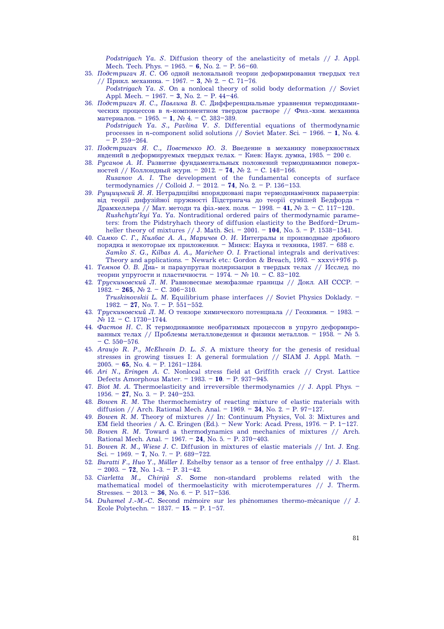*Podstrigach Ya. S.* Diffusion theory of the anelasticity of metals // J. Appl. Mech. Tech. Phys. – 1965. – **6**, No. 2. – P. 56–60.

35. *Подстригач Я. С.* Об одной нелокальной теории деформирования твердых тел // Прикл. механика. – 1967. – **3**, № 2. – С. 71–76.

*Podstrigach Ya. S.* On a nonlocal theory of solid body deformation // Soviet Appl. Mech. – 1967. – **3**, No. 2. – P. 44–46.

- 36. *Подстригач Я. С., Павлина В. С.* Дифференциальные уравнения термодинамических процессов в *n*-компонентном твердом растворе // Физ.-хим. механика материалов. – 1965. – **1**, № 4. – С. 383–389.
	- *Podstrigach Ya. S., Pavlina V. S.* Differential equations of thermodynamic processes in *n*-component solid solutions // Soviet Mater. Sci. – 1966. – **1**, No. 4.  $-$  P. 259 $-264$ .
- 37. *Подстригач Я. С., Повстенко Ю. З.* Введение в механику поверхностных явдений в деформируемых твердых телах. – Киев: Наук. думка, 1985. – 200 с.
- 38. *Русанов А. И.* Развитие фундаментальных положений термодинамики поверхностей // Коллоидный журн. – 2012. – **74**, № 2. – С. 148–166. *Rusanov A. I.* The development of the fundamental concepts of surface termodynamics // Colloid J. – 2012. – **74**, No. 2. – P. 136–153.
- 39. *Рущицький Я. Я.* Нетрадиційні впорядковані пари термодинамічних параметрів: від теорії дифузійної пружності Підстригача до теорії сумішей Бедфорда – Драмхеллера // Мат. методи та фіз.-мех. поля. – 1998. – **41,** № 3. – С. 117–120..
	- *Rushchyts'kyi Ya. Ya.* Nontraditional ordered pairs of thermodynamic parameters: from the Pidstryhach theory of diffusion elasticity to the Bedford–Drumheller theory of mixtures // J. Math. Sci. – 2001. – **104**, No. 5. – P. 1538–1541.
- 40. *Самко С. Г., Килбас А. А., Маричев О. И.* Интегралы и производные дробного порядка и некоторые их приложения. – Минск: Наука и техника, 1987. – 688 с. *Samko S. G., Kilbas A. A., Marichev O. I*. Fractional integrals and derivatives: Theory and applications. – Newark etc.: Gordon & Breach,  $1993. -$  xxxvi+976 p.
- 41. *Темнов О. В. Д*иа- и параупругая поляризация в твердых телах // Исслед. по теории упругости и пластичности. – 1974. – № 10. – С. 83–102.
- 42. *Трускиновский Л. М.* Равновесные межфазные границы // Докл. АН СССР. 1982. – **265**, № 2. – С. 306–310. *Truskinovskii L. M.* Equilibrium phase interfaces // Soviet Physics Doklady. –
	- 1982. **27**, No. 7. P. 551–552.
- 43. *Трускиновский Л. М.* О тензоре химического потенциала // Геохимия. 1983. № 12. – С. 1730–1744.
- 44. *Фастов Н. С.* К термодинамике необратимых процессов в упруго деформированных телах // Проблемы металловедения и физики металлов. – 1958. – № 5. – С. 550–576.
- 45. *Araujo R. P., McElwain D. L. S.* A mixture theory for the genesis of residual stresses in growing tissues I: A general formulation // SIAM J. Appl. Math. – 2005. – **65**, No. 4. – P. 1261–1284.
- 46. *Ari N., Eringen A. C.* Nonlocal stress field at Griffith crack // Cryst. Lattice Defects Amorphous Mater. – 1983. – **10**. – P. 937–945.
- 47. *Biot M. A.* Thermoelasticity and irreversible thermodynamics // J. Appl. Phys. 1956. – **27**, No. 3. – P. 240–253.
- 48. *Bowen R. M.* The thermochemistry of reacting mixture of elastic materials with diffusion // Arch. Rational Mech. Anal. – 1969. – **34**, No. 2. – P. 97–127.
- 49. *Bowen R. M.* Theory of mixtures // In: Continuum Physics, Vol. 3: Mixtures and EM field theories / A. C. Eringen (Ed.). – New York: Acad. Press, 1976. – P. 1–127.
- 50. *Bowen R. M.* Toward a thermodynamics and mechanics of mixtures // Arch. Rational Mech. Anal. – 1967. – **24**, No. 5. – P. 370–403.
- 51. *Bowen R. M., Wiese J. C.* Diffusion in mixtures of elastic materials // Int. J. Eng. Sci. – 1969. – **7**, No. 7. – P. 689–722.
- 52. *Buratti F., Huo Y., Müller I.* Eshelby tensor as a tensor of free enthalpy // J. Elast. – 2003. – **72**, No. 1-3. – P. 31–42.
- 53. *Ciarletta M., Chiriţă S.* Some non-standard problems related with the mathematical model of thermoelasticity with microtemperatures // J. Therm. Stresses. – 2013. – **36**, No. 6. – P. 517–536.
- 54. *Duhamel J.-M.-C.* Second mémoire sur les phénom $u$ nes thermo-mécanique // J. Ecole Polytechn. – 1837. – **15**. – P. 1–57.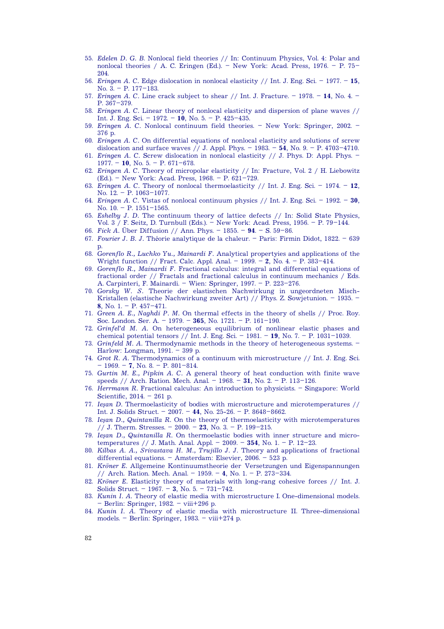- 55. *Edelen D. G. B*. Nonlocal field theories // In: Continuum Physics, Vol. 4: Polar and nonlocal theories / A. C. Eringen (Ed.). – New York: Acad. Press, 1976. – P. 75– 204.
- 56. *Eringen A. C.* Edge dislocation in nonlocal elasticity // Int. J. Eng. Sci. 1977. **15**, No. 3. – P. 177–183.
- 57. *Eringen A. C.* Line crack subject to shear // Int. J. Fracture. 1978. **14**, No. 4. P. 367–379.
- 58. *Eringen A. C.* Linear theory of nonlocal elasticity and dispersion of plane waves // Int. J. Eng. Sci. – 1972. – **10**, No. 5. – P. 425–435.
- 59. *Eringen A. C.* Nonlocal continuum field theories. New York: Springer, 2002. 376 p.
- 60. *Eringen A. C.* On differential equations of nonlocal elasticity and solutions of screw dislocation and surface waves // J. Appl. Phys. – 1983. – **54**, No. 9. – P. 4703–4710.
- 61. *Eringen A. C.* Screw dislocation in nonlocal elasticity // J. Phys. D: Appl. Phys. 1977. – **10**, No. 5. – P. 671–678.
- 62. *Eringen A. C.* Theory of micropolar elasticity // In: Fracture, Vol. 2 / H. Liebowitz (Ed.). – New York: Acad. Press, 1968. – P. 621–729.
- 63. *Eringen A. C.* Theory of nonlocal thermoelasticity // Int. J. Eng. Sci. 1974. **12**, No. 12. – P. 1063–1077.
- 64. *Eringen A. C.* Vistas of nonlocal continuum physics // Int. J. Eng. Sci. 1992. **30**, No.  $10. - P. 1551 - 1565$ .
- 65. *Eshelby J. D.* The continuum theory of lattice defects // In: Solid State Physics, Vol. 3 / F. Seitz, D. Turnbull (Eds.). – New York: Acad. Press, 1956. – P. 79–144.
- 66. *Fick A.* Über Diffusion // Ann. Phys. 1855. **94**. S. 59–86.
- 67. *Fourier J. B. J.* Théorie analytique de la chaleur. Paris: Firmin Didot, 1822. 639 p.
- 68. *Gorenflo R., Luchko Yu., Mainardi F.* Analytical propertyies and applications of the Wright function // Fract. Calc. Appl. Anal. – 1999. – **2**, No. 4. – P. 383–414.
- 69. *Gorenflo R., Mainardi F.* Fractional calculus: integral and differential equations of fractional order // Fractals and fractional calculus in continuum mechanics / Eds. A. Carpinteri, F. Mainardi. – Wien: Springer, 1997. – P. 223–276.
- 70. *Gorsky W. S.* Theorie der elastischen Nachwirkung in ungeordneten Misch-Kristallen (elastische Nachwirkung zweiter Art) // Phys. Z. Sowjetunion. – 1935. – **8**, No. 1. – P. 457–471.
- 71. *Green A. E., Naghdi P. M.* On thermal effects in the theory of shells // Proc. Roy. Soc. London. Ser. A. – 1979. – **365**, No. 1721. – P. 161–190.
- 72. *Grinfel'd M. A.* On heterogeneous equilibrium of nonlinear elastic phases and chemical potential tensors // Int. J. Eng. Sci. – 1981. – **19**, No. 7. – P. 1031–1039.
- 73. *Grinfeld M. A.* Thermodynamic methods in the theory of heterogeneous systems. Harlow: Longman, 1991. – 399 p.
- 74. *Grot R. A.* Thermodynamics of a continuum with microstructure // Int. J. Eng. Sci. – 1969. – **7**, No. 8. – P. 801–814.
- 75. *Gurtin M. E., Pipkin A. C.* A general theory of heat conduction with finite wave speeds // Arch. Ration. Mech. Anal. – 1968. – **31**, No. 2. – P. 113–126.
- 76. *Herrmann R.* Fractional calculus: An introduction to physicists. Singapore: World Scientific, 2014. – 261 p.
- 77. *Ieşan D.* Thermoelasticity of bodies with microstructure and microtemperatures // Int. J. Solids Struct. – 2007. – **44**, No. 25-26. – P. 8648–8662.
- 78. *Ieşan D., Quintanilla R.* On the theory of thermoelasticity with microtemperatures // J. Therm. Stresses. – 2000. – **23**, No. 3. – P. 199–215.
- 79. *Ieşan D., Quintanilla R.* On thermoelastic bodies with inner structure and microtemperatures // J. Math. Anal. Appl. – 2009. – **354**, No. 1. – P. 12–23.
- 80. *Kilbas A. A., Srivastava H. M., Trujillo J. J.* Theory and applications of fractional differential equations. – Amsterdam: Elsevier, 2006. – 523 p.
- 81. *Kröner E.* Allgemeine Kontinuumstheorie der Versetzungen und Eigenspannungen // Arch. Ration. Mech. Anal. – 1959. – **4**, No. 1. – P. 273–334.
- 82. *Kröner E.* Elasticity theory of materials with long-rang cohesive forces // Int. J. Solids Struct. – 1967. – **3**, No. 5. – 731–742.
- 83. *Kunin I. A.* Theory of elastic media with microstructure I. One-dimensional models. – Berlin: Springer, 1982. – viii+296 p.
- 84. *Kunin I. A.* Theory of elastic media with microstructure II. Three-dimensional models. – Berlin: Springer, 1983. – viii+274 p.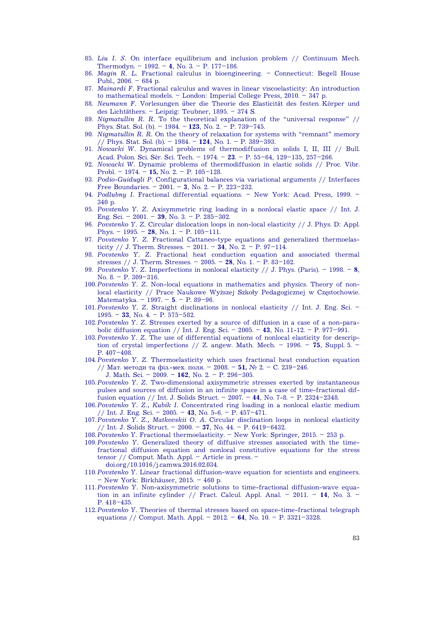- 85. *Liu I. S.* On interface equilibrium and inclusion problem // Continuum Mech. Thermodyn. – 1992. – **4**, No. 3. – P. 177–186.
- 86. *Magin R. L.* Fractional calculus in bioengineering. Connecticut: Begell House Publ., 2006. – 684 p.
- 87. *Mainardi F.* Fractional calculus and waves in linear viscoelasticity: An introduction to mathematical models. – London: Imperial College Press, 2010. – 347 p.
- 88. *Neumann F.* Vorlesungen über die Theorie des Elasticität des festen Körper und des Lichtäthers. – Leipzig: Teubner, 1895. – 374 S.
- 89. *Nigmatullin R. R.* To the theoretical explanation of the "universal response" // Phys. Stat. Sol. (b). – 1984. – **123**, No. 2. – P. 739–745.
- 90. *Nigmatullin R. R.* On the theory of relaxation for systems with "remnant" memory // Phys. Stat. Sol. (b). – 1984. – **124**, No. 1. – P. 389–393.
- 91. *Nowacki W.* Dynamical problems of thermodiffusion in solids I, II, III // Bull. Acad. Polon. Sci. Sér. Sci. Tech. – 1974. – **23**. – P. 55–64, 129–135, 257–266.
- 92. *Nowacki W.* Dynamic problems of thermodiffusion in elastic solids // Proc. Vibr. Probl. – 1974. – **15,** No. 2. – P. 105–128.
- 93. *Podio-Guidugli P.* Configurational balances via variational arguments // Interfaces Free Boundaries. – 2001. – **3**, No. 2. – P. 223–232.
- 94. *Podlubny I.* Fractional differential equations. New York: Acad. Press, 1999. 340 p.
- 95. *Povstenko Y. Z.* Axisymmetric ring loading in a nonlocal elastic space // Int. J. Eng. Sci. – 2001. – **39**, No. 3. – P. 285–302.
- 96. *Povstenko Y. Z.* Circular dislocation loops in non-local elasticity // J. Phys. D: Appl. Phys. – 1995. – **28**, No. 1. – P. 105–111.
- 97. *Povstenko Y. Z.* Fractional Cattaneo-type equations and generalized thermoelasticity // J. Therm. Stresses.  $-2011. - 34$ , No. 2.  $- P$ . 97-114.
- 98. *Povstenko Y. Z.* Fractional heat conduction equation and associated thermal stresses // J. Therm. Stresses. – 2005. – **28**, No. 1. – P. 83–102.
- 99. *Povstenko Y. Z.* Imperfections in nonlocal elasticity // J. Phys. (Paris). 1998. **8**, No. 8. – P. 309–316.
- 100. *Povstenko Y. Z.* Non-local equations in mathematics and physics. Theory of nonlocal elasticity // Prace Naukowe Wyższej Szkoły Pedagogicznej w Częstochowie. Matematyka. – 1997. – **5**. – P. 89–96.
- 101. *Povstenko Y. Z.* Straight disclinations in nonlocal elasticity // Int. J. Eng. Sci. 1995. – **33**, No. 4. – P. 575–582.
- 102. *Povstenko Y. Z.* Stresses exerted by a source of diffusion in a case of a non-parabolic diffusion equation // Int. J. Eng. Sci. – 2005. – **43**, No. 11-12. – P. 977–991.
- 103. *Povstenko Y. Z.* The use of differential equations of nonlocal elasticity for description of crystal imperfections  $// Z$ . angew. Math. Mech. – 1996. – **75**, Suppl. 5. – P. 407–408.
- 104. *Povstenko Y. Z*. Thermoelasticity which uses fractional heat conduction equation // Мат. методи та фіз.-мех. поля. – 2008. – **51,** № 2. – С. 239–246. J. Math. Sci. – 2009. – **162**, No. 2. – P. 296–305.
- 105. *Povstenko Y. Z.* Two-dimensional axisymmetric stresses exerted by instantaneous pulses and sources of diffusion in an infinite space in a case of time-fractional diffusion equation // Int. J. Solids Struct. – 2007. – **44**, No. 7-8. – P. 2324–2348.
- 106. *Povstenko Y. Z., Kubik I.* Concentrated ring loading in a nonlocal elastic medium // Int. J. Eng. Sci. – 2005. – **43**, No. 5-6. – P. 457–471.
- 107. *Povstenko Y. Z., Matkovskii O. A.* Circular disclination loops in nonlocal elasticity // Int. J. Solids Struct. – 2000. – **37**, No. 44. – P. 6419–6432.
- 108. *Povstenko Y.* Fractional thermoelasticity. New York: Springer, 2015. 253 p.
- 109. *Povstenko Y.* Generalized theory of diffusive stresses associated with the timefractional diffusion equation and nonlocal constitutive equations for the stress tensor // Comput. Math. Appl. – Article in press. – doi.org/10.1016/j.camwa.2016.02.034.
- 110. *Povstenko Y.* Linear fractional diffusion-wave equation for scientists and engineers. – New York: Birkhäuser, 2015. – 460 p.
- 111. *Povstenko Y.* Non-axisymmetric solutions to time-fractional diffusion-wave equation in an infinite cylinder // Fract. Calcul. Appl. Anal. – 2011. – **14**, No. 3. – P. 418–435.
- 112. *Povstenko Y.* Theories of thermal stresses based on space-time-fractional telegraph equations // Comput. Math. Appl. – 2012. – **64**, No. 10. – P. 3321–3328.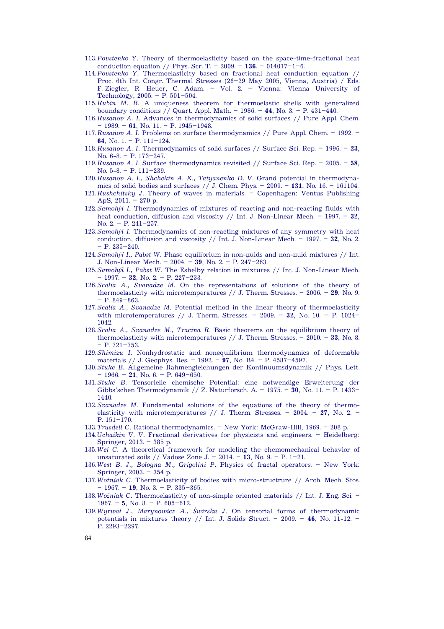- 113. *Povstenko Y.* Theory of thermoelasticity based on the space-time-fractional heat conduction equation // Phys. Scr. T. – 2009. –  $136. - 014017 - 1 - 6$ .
- 114. *Povstenko Y.* Thermoelasticity based on fractional heat conduction equation // Proc. 6th Int. Congr. Thermal Stresses (26–29 May 2005, Vienna, Austria) / Eds. F. Ziegler, R. Heuer, C. Adam. – Vol. 2. – Vienna: Vienna University of Technology, 2005. – P. 501–504.
- 115. *Rubin M. B.* A uniqueness theorem for thermoelastic shells with generalized boundary conditions // Quart. Appl. Math. – 1986. – **44**, No. 3. – P. 431–440.
- 116. *Rusanov A. I.* Advances in thermodynamics of solid surfaces // Pure Appl. Chem. – 1989. – **61**, No. 11. – P. 1945–1948.
- 117. *Rusanov A. I.* Problems on surface thermodynamics // Pure Appl. Chem. 1992. **64**, No. 1. – P. 111–124.
- 118. *Rusanov A. I.* Thermodynamics of solid surfaces // Surface Sci. Rep. 1996. **23**, No.  $6-8.$  – P.  $173-247.$
- 119. *Rusanov A. I.* Surface thermodynamics revisited // Surface Sci. Rep. 2005. **58**, No. 5-8. – P. 111–239.
- 120. *Rusanov A. I., Shchekin A. K., Tatyanenko D. V.* Grand potential in thermodynamics of solid bodies and surfaces // J. Chem. Phys. – 2009. – **131**, No. 16. – 161104.
- 121. *Rushchitsky J.* Theory of waves in materials. Copenhagen: Ventus Publishing ApS, 2011. – 270 p.
- 122. *Samohýl I.* Thermodynamics of mixtures of reacting and non-reacting fluids with heat conduction, diffusion and viscosity // Int. J. Non-Linear Mech. – 1997. – **32**, No. 2. – P. 241–257.
- 123. *Samohýl I.* Thermodynamics of non-reacting mixtures of any symmetry with heat conduction, diffusion and viscosity  $//$  Int. J. Non-Linear Mech.  $-$  1997.  $-$  **32**, No. 2.  $-$  P. 235 $-240$ .
- 124. Samohýl I., Pabst W. Phase equilibrium in non-nuids and non-nuid mixtures // Int. J. Non-Linear Mech. – 2004. – **39**, No. 2. – P. 247–263.
- 125. *Samohýl I., Pabst W.* The Eshelby relation in mixtures // Int. J. Non-Linear Mech. – 1997. – **32**, No. 2. – P. 227–233.
- 126. *Scalia A., Svanadze M.* On the representations of solutions of the theory of thermoelasticity with microtemperatures // J. Therm. Stresses. – 2006. – **29**, No. 9.  $- P. 849 - 863$
- 127. *Scalia A., Svanadze M.* Potential method in the linear theory of thermoelasticity with microtemperatures  $//$  J. Therm. Stresses.  $-$  2009.  $-$  32, No. 10.  $-$  P. 1024 $-$ 1042.
- 128. *Scalia A., Svanadze M., Tracinà R.* Basic theorems on the equilibrium theory of thermoelasticity with microtemperatures // J. Therm. Stresses. – 2010. – **33**, No. 8.  $-$  P. 721–753.
- 129. *Shimizu I.* Nonhydrostatic and nonequilibrium thermodynamics of deformable materials // J. Geophys. Res. – 1992. – **97**, No. B4. – P. 4587–4597.
- 130. *Stuke B.* Allgemeine Rahmengleichungen der Kontinuumsdynamik // Phys. Lett. – 1966. – **21**, No. 6. – P. 649–650.
- 131. *Stuke B.* Tensorielle chemische Potential: eine notwendige Erweiterung der Gibbs'schen Thermodynamik // Z. Naturforsch. A. – 1975. – **30**, No. 11. – P. 1433– 1440.
- 132. *Svanadze M.* Fundamental solutions of the equations of the theory of thermoelasticity with microtemperatures  $//$  J. Therm. Stresses. – 2004. – 27, No. 2. – P. 151–170.
- 133. *Trusdell C.* Rational thermodynamics. New York: McGraw-Hill, 1969. 208 p.
- 134. *Uchaikin V. V.* Fractional derivatives for physicists and engineers. Heidelberg: Springer, 2013. – 385 p.
- 135. *Wei C.* A theoretical framework for modeling the chemomechanical behavior of unsaturated soils // Vadose Zone J. – 2014. – **13**, No. 9. – P. 1–21.
- 136. *West B. J., Bologna M., Grigolini P.* Physics of fractal operators. New York: Springer, 2003. – 354 p.
- 137. *Woźniak C.* Thermoelasticity of bodies with micro-structrure // Arch. Mech. Stos. – 1967. – **19**, No. 3. – P. 335–365.
- 138. *Woźniak C.* Thermoelasticity of non-simple oriented materials // Int. J. Eng. Sci. 1967. – **5**, No. 8. – P. 605–612.
- 139. *Wyrwał J., Marynowicz A., Świrska J.* On tensorial forms of thermodynamic potentials in mixtures theory // Int. J. Solids Struct. – 2009. – **46**, No. 11-12. – P. 2293–2297.